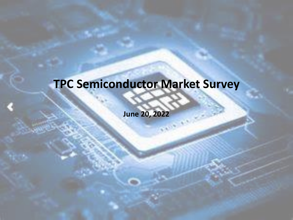### **TPC Semiconductor Market Survey**

**June 20, 2022**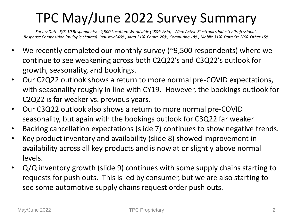### TPC May/June 2022 Survey Summary

*Survey Date: 6/3-10 Respondents: ~9,500 Location: Worldwide (~80% Asia) Who: Active Electronics Industry Professionals Response Composition (multiple choices): Industrial 40%, Auto 21%, Comm 20%, Computing 18%, Mobile 31%, Data Ctr 20%, Other 15%*

- We recently completed our monthly survey (~9,500 respondents) where we continue to see weakening across both C2Q22's and C3Q22's outlook for growth, seasonality, and bookings.
- Our C2Q22 outlook shows a return to more normal pre-COVID expectations, with seasonality roughly in line with CY19. However, the bookings outlook for C2Q22 is far weaker vs. previous years.
- Our C3Q22 outlook also shows a return to more normal pre-COVID seasonality, but again with the bookings outlook for C3Q22 far weaker.
- Backlog cancellation expectations (slide 7) continues to show negative trends.
- Key product inventory and availability (slide 8) showed improvement in availability across all key products and is now at or slightly above normal levels.
- Q/Q inventory growth (slide 9) continues with some supply chains starting to requests for push outs. This is led by consumer, but we are also starting to see some automotive supply chains request order push outs.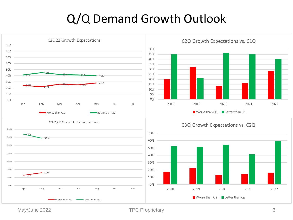#### Q/Q Demand Growth Outlook



May/June 2022 **TPC Proprietary** 3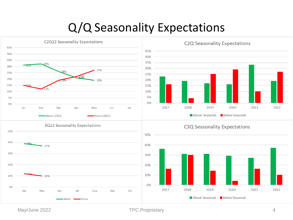#### Q/Q Seasonality Expectations

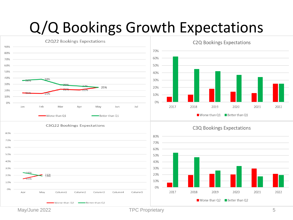## Q/Q Bookings Growth Expectations

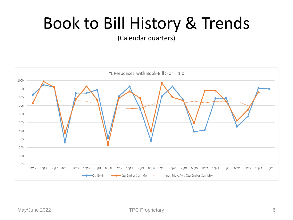## Book to Bill History & Trends

(Calendar quarters)

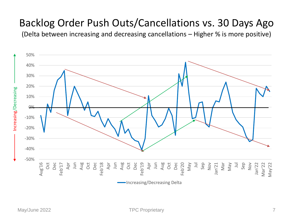#### Backlog Order Push Outs/Cancellations vs. 30 Days Ago

(Delta between increasing and decreasing cancellations – Higher % is more positive)

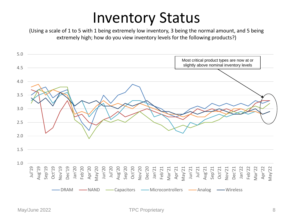### Inventory Status

(Using a scale of 1 to 5 with 1 being extremely low inventory, 3 being the normal amount, and 5 being extremely high; how do you view inventory levels for the following products?)

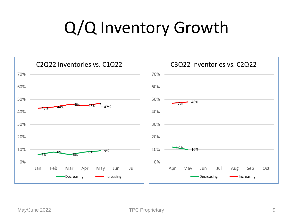# Q/Q Inventory Growth

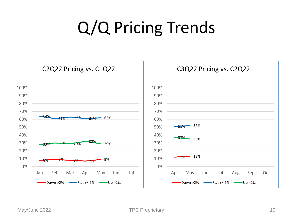# Q/Q Pricing Trends